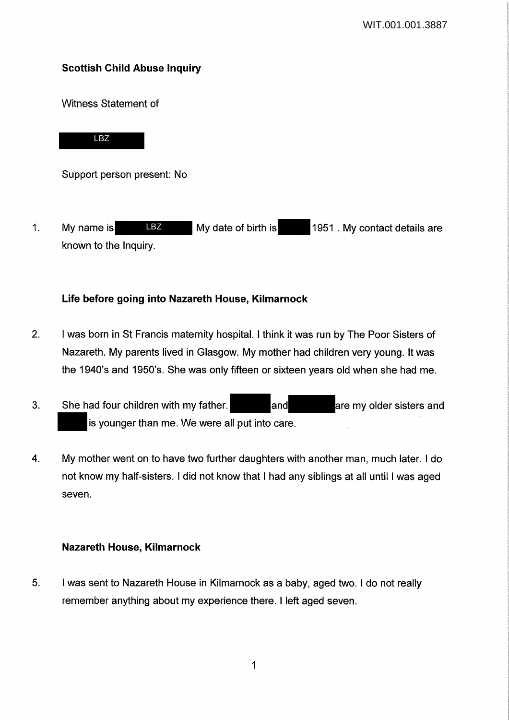# Scottish Child Abuse Inquiry

Witness Statement of

LBZ

Support person present: No

1. My name is **LBZ** My date of birth is 1951. My contact details are known to the Inquiry. LBZ

# Life before going into Nazareth House, Kilmarnock

- 2. I was born in St Francis maternity hospital. I think it was run by The Poor Sisters of Nazareth. My parents lived in Glasgow. My mother had children very young. It was the 1940's and 1950's. She was only fifteen or sixteen years old when she had me.
- 3. She had four children with my father. **All and are my older sisters and are my older sisters and** is younger than me. We were all put into care.
- 4. My mother went on to have two further daughters with another man, much later. I do not know my half-sisters. I did not know that I had any siblings at all until I was aged seven.

# Nazareth House, Kilmarnock

5. I was sent to Nazareth House in Kilmarnock as a baby, aged two. I do not really remember anything about my experience there. I left aged seven.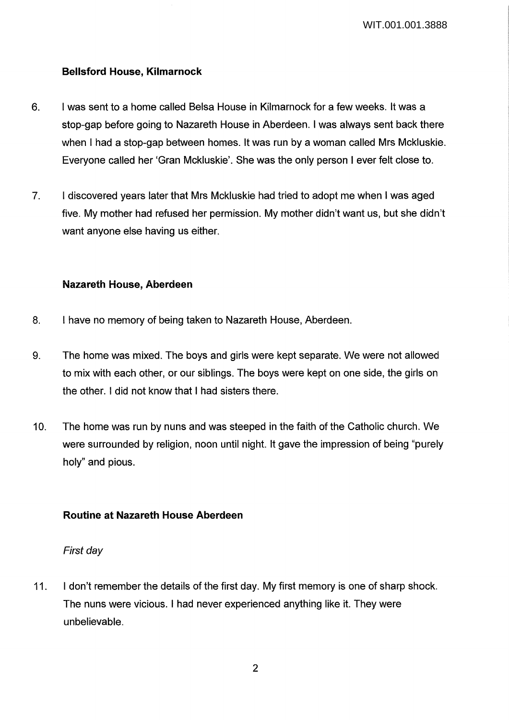WIT.001.001.3888

### **Bellsford House, Kilmarnock**

- 6. I was sent to a home called Belsa House in Kilmarnock for a few weeks. It was a stop-gap before going to Nazareth House in Aberdeen. I was always sent back there when I had a stop-gap between homes. It was run by a woman called Mrs Mckluskie. Everyone called her 'Gran Mckluskie'. She was the only person I ever felt close to.
- 7. I discovered years later that Mrs Mckluskie had tried to adopt me when I was aged five. My mother had refused her permission. My mother didn't want us, but she didn't want anyone else having us either.

### **Nazareth House, Aberdeen**

- 8. I have no memory of being taken to Nazareth House, Aberdeen.
- 9. The home was mixed. The boys and girls were kept separate. We were not allowed to mix with each other, or our siblings. The boys were kept on one side, the girls on the other. I did not know that I had sisters there.
- 10. The home was run by nuns and was steeped in the faith of the Catholic church. We were surrounded by religion, noon until night. It gave the impression of being "purely holy" and pious.

# **Routine at Nazareth House Aberdeen**

### First day

11. I don't remember the details of the first day. My first memory is one of sharp shock. The nuns were vicious. I had never experienced anything like it. They were unbelievable.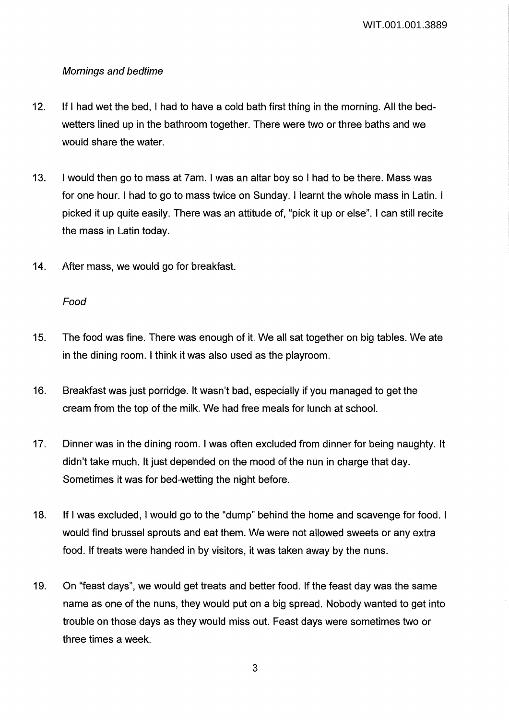### Mornings and bedtime

- 12. If I had wet the bed, I had to have a cold bath first thing in the morning. All the bedwetters lined up in the bathroom together. There were two or three baths and we would share the water.
- 13. I would then go to mass at 7am. I was an altar boy so I had to be there. Mass was for one hour. I had to go to mass twice on Sunday. I learnt the whole mass in Latin. I picked it up quite easily. There was an attitude of, "pick it up or else". I can still recite the mass in Latin today.
- 14. After mass, we would go for breakfast.

### Food

- 15. The food was fine. There was enough of it. We all sat together on big tables. We ate in the dining room. I think it was also used as the playroom.
- 16. Breakfast was just porridge. It wasn't bad, especially if you managed to get the cream from the top of the milk. We had free meals for lunch at school.
- 17. Dinner was in the dining room. I was often excluded from dinner for being naughty. It didn't take much. It just depended on the mood of the nun in charge that day. Sometimes it was for bed-wetting the night before.
- 18. If I was excluded, I would go to the "dump" behind the home and scavenge for food. I would find brussel sprouts and eat them. We were not allowed sweets or any extra food. If treats were handed in by visitors, it was taken away by the nuns.
- 19. On "feast days", we would get treats and better food. If the feast day was the same name as one of the nuns, they would put on a big spread. Nobody wanted to get into trouble on those days as they would miss out. Feast days were sometimes two or three times a week.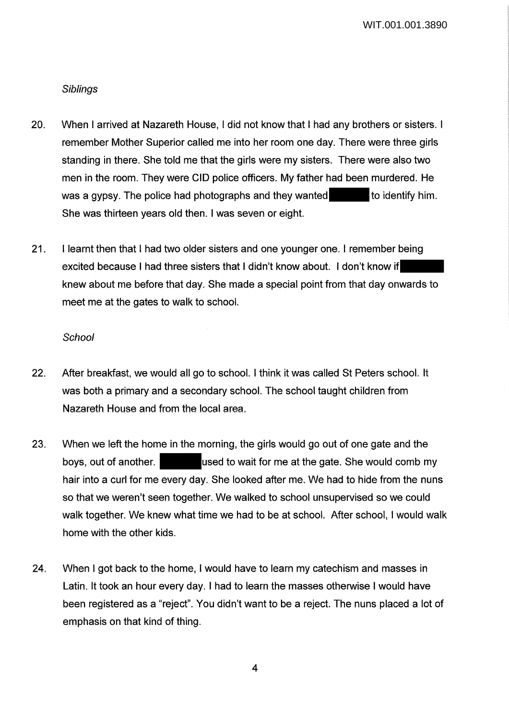WIT.001.001.3890

#### **Siblings**

- 20. When I arrived at Nazareth House, I did not know that I had any brothers or sisters. I remember Mother Superior called me into her room one day. There were three girls standing in there. She told me that the girls were my sisters. There were also two men in the room. They were CID police officers. My father had been murdered. He was a gypsy. The police had photographs and they wanted to identify him. She was thirteen years old then. I was seven or eight.
- 21. I learnt then that I had two older sisters and one younger one. I remember being excited because I had three sisters that I didn't know about. I don't know if knew about me before that day. She made a special point from that day onwards to meet me at the gates to walk to school.

#### *School*

- 22. After breakfast, we would all go to school. I think it was called St Peters school. It was both a primary and a secondary school. The school taught children from Nazareth House and from the local area.
- 23. When we left the home in the morning, the girls would go out of one gate and the boys, out of another. used to wait for me at the gate. She would comb my hair into a curl for me every day. She looked after me. We had to hide from the nuns so that we weren't seen together. We walked to school unsupervised so we could walk together. We knew what time we had to be at school. After school, I would walk home with the other kids.
- 24. When I got back to the home, I would have to learn my catechism and masses in Latin. It took an hour every day. I had to learn the masses otherwise I would have been registered as a "reject". You didn't want to be a reject. The nuns placed a lot of emphasis on that kind of thing.

4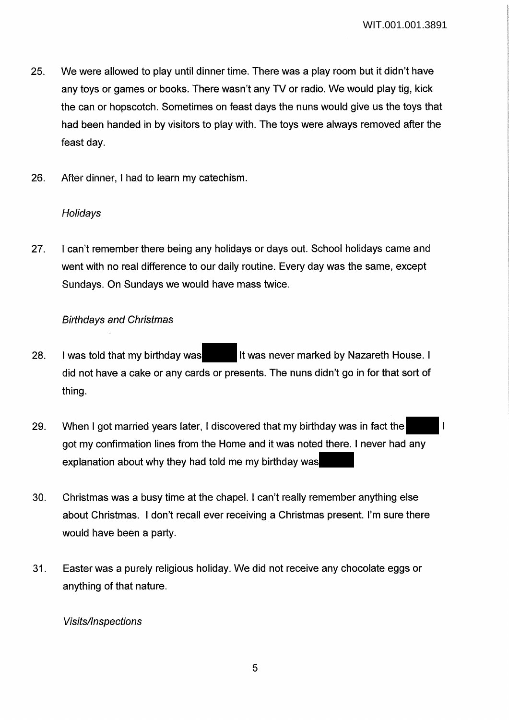- 25. We were allowed to play until dinner time. There was a play room but it didn't have any toys or games or books. There wasn't any TV or radio. We would play tig, kick the can or hopscotch. Sometimes on feast days the nuns would give us the toys that had been handed in by visitors to play with. The toys were always removed after the feast day.
- 26. After dinner, I had to learn my catechism.

### **Holidays**

27. I can't remember there being any holidays or days out. School holidays came and went with no real difference to our daily routine. Every day was the same, except Sundays. On Sundays we would have mass twice.

### Birthdays and Christmas

- 28. I was told that my birthday was It was never marked by Nazareth House. I did not have a cake or any cards or presents. The nuns didn't go in for that sort of thing.
- 29. When I got married years later, I discovered that my birthday was in fact the got my confirmation lines from the Home and it was noted there. I never had any explanation about why they had told me my birthday was
- 30. Christmas was a busy time at the chapel. I can't really remember anything else about Christmas. I don't recall ever receiving a Christmas present. I'm sure there would have been a party.
- 31. Easter was a purely religious holiday. We did not receive any chocolate eggs or anything of that nature.

#### Visits/Inspections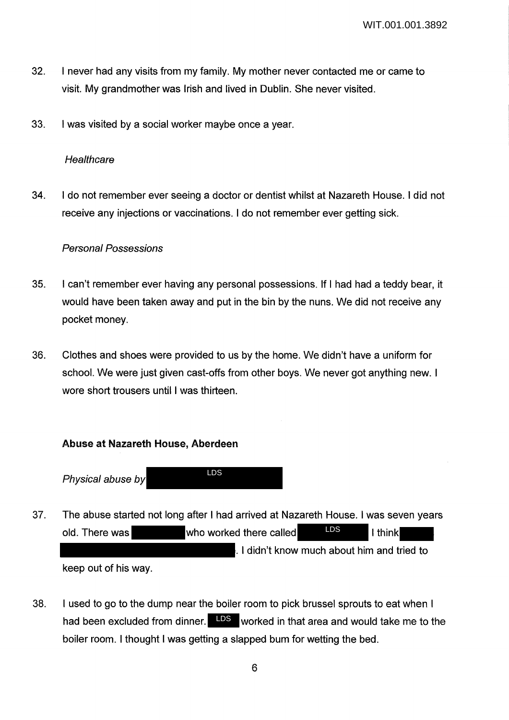- 32. I never had any visits from my family. My mother never contacted me or came to visit. My grandmother was Irish and lived in Dublin. She never visited.
- 33. I was visited by a social worker maybe once a year.

#### **Healthcare**

34. I do not remember ever seeing a doctor or dentist whilst at Nazareth House. I did not receive any injections or vaccinations. I do not remember ever getting sick.

#### Personal Possessions

- 35. I can't remember ever having any personal possessions. If I had had a teddy bear, it would have been taken away and put in the bin by the nuns. We did not receive any pocket money.
- 36. Clothes and shoes were provided to us by the home. We didn't have a uniform for school. We were just given cast-offs from other boys. We never got anything new. I wore short trousers until I was thirteen.

### **Abuse at Nazareth House, Aberdeen**

Physical abuse by LDS

- 37. The abuse started not long after I had arrived at Nazareth House. I was seven years old. There was who worked there called I think . I didn't know much about him and tried to keep out of his way. LDS
- 38. I used to go to the dump near the boiler room to pick brussel sprouts to eat when I had been excluded from dinner. LDS worked in that area and would take me to the boiler room. I thought I was getting a slapped bum for wetting the bed.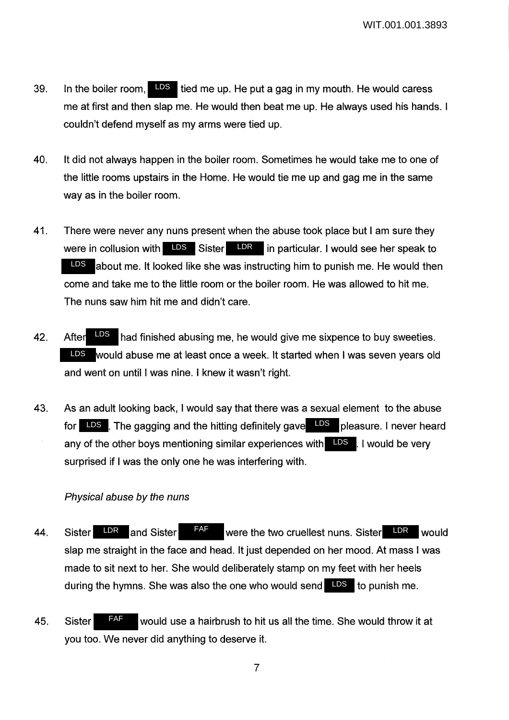- 39. In the boiler room,  $\overline{LDS}$  tied me up. He put a gag in my mouth. He would caress me at first and then slap me. He would then beat me up. He always used his hands. I couldn't defend myself as my arms were tied up.
- 40. It did not always happen in the boiler room. Sometimes he would take me to one of the little rooms upstairs in the Home. He would tie me up and gag me in the same way as in the boiler room.
- 41. There were never any nuns present when the abuse took place but I am sure they were in collusion with  $\Box$ DS Sister  $\Box$ DR in particular. I would see her speak to about me. It looked like she was instructing him to punish me. He would then come and take me to the little room or the boiler room. He was allowed to hit me. The nuns saw him hit me and didn't care. LDS
- 42. After  $\frac{1.05}{1.05}$  had finished abusing me, he would give me sixpence to buy sweeties. would abuse me at least once a week. It started when I was seven years old LDS and went on until I was nine. I knew it wasn't right. After LDS
- 43. As an adult looking back, I would say that there was a sexual element to the abuse for LDS . The gagging and the hitting definitely gave LDS pleasure. I never heard any of the other boys mentioning similar experiences with **LDS**. I would be very surprised if I was the only one he was interfering with.

### Physical abuse by the nuns

- 44. Sister LDR and Sister F<sup>AF</sup> were the two cruellest nuns. Sister LDR would slap me straight in the face and head. It just depended on her mood. At mass I was made to sit next to her. She would deliberately stamp on my feet with her heels during the hymns. She was also the one who would send LDS to punish me. FAF
- 45. Sister FAF would use a hairbrush to hit us all the time. She would throw it at you too. We never did anything to deserve it. FAF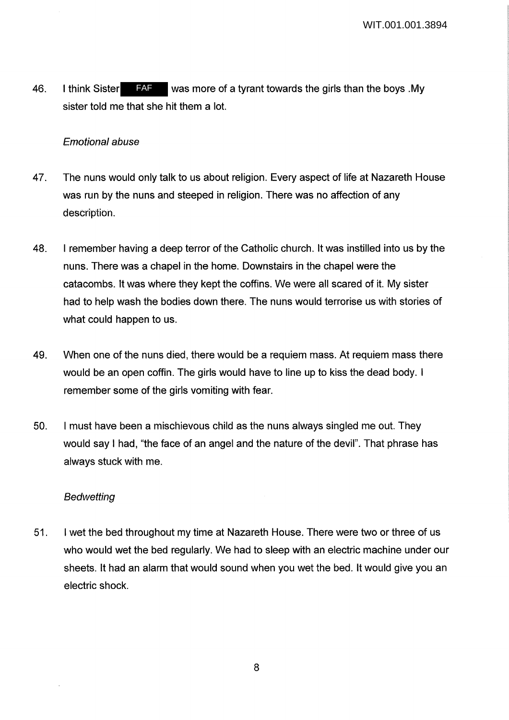46. I think Sister FAF was more of a tyrant towards the girls than the boys My sister told me that she hit them a lot. FAF

### Emotional abuse

- 47. The nuns would only talk to us about religion. Every aspect of life at Nazareth House was run by the nuns and steeped in religion. There was no affection of any description.
- 48. I remember having a deep terror of the Catholic church. It was instilled into us by the nuns. There was a chapel in the home. Downstairs in the chapel were the catacombs. It was where they kept the coffins. We were all scared of it. My sister had to help wash the bodies down there. The nuns would terrorise us with stories of what could happen to us.
- 49. When one of the nuns died, there would be a requiem mass. At requiem mass there would be an open coffin. The girls would have to line up to kiss the dead body. I remember some of the girls vomiting with fear.
- 50. I must have been a mischievous child as the nuns always singled me out. They would say I had, "the face of an angel and the nature of the devil". That phrase has always stuck with me.

### Bedwetting

51. I wet the bed throughout my time at Nazareth House. There were two or three of us who would wet the bed regularly. We had to sleep with an electric machine under our sheets. It had an alarm that would sound when you wet the bed. It would give you an electric shock.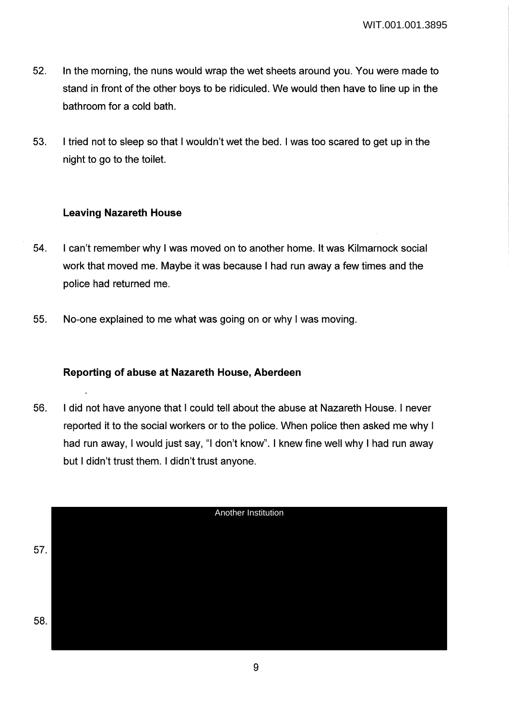- 52. In the morning, the nuns would wrap the wet sheets around you. You were made to stand in front of the other boys to be ridiculed. We would then have to line up in the bathroom for a cold bath.
- 53. I tried not to sleep so that I wouldn't wet the bed. I was too scared to get up in the night to go to the toilet.

### **Leaving Nazareth House**

- 54. I can't remember why I was moved on to another home. It was Kilmarnock social work that moved me. Maybe it was because I had run away a few times and the police had returned me.
- 55. No-one explained to me what was going on or why I was moving.

### **Reporting of abuse at Nazareth House, Aberdeen**

56. I did not have anyone that I could tell about the abuse at Nazareth House. I never reported it to the social workers or to the police. When police then asked me why I had run away, I would just say, "I don't know". I knew fine well why I had run away but I didn't trust them. I didn't trust anyone.

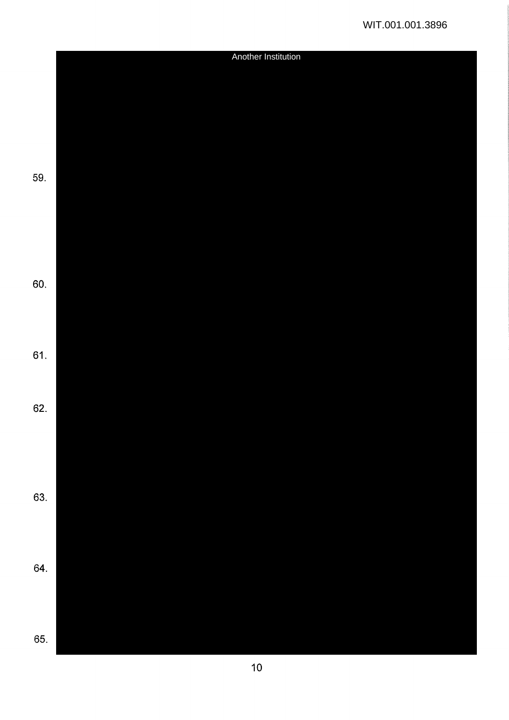|     | Another Institution |  |  |
|-----|---------------------|--|--|
|     |                     |  |  |
|     |                     |  |  |
|     |                     |  |  |
|     |                     |  |  |
|     |                     |  |  |
|     |                     |  |  |
| 59. |                     |  |  |
|     |                     |  |  |
|     |                     |  |  |
|     |                     |  |  |
|     |                     |  |  |
|     |                     |  |  |
|     |                     |  |  |
| 60. |                     |  |  |
|     |                     |  |  |
|     |                     |  |  |
|     |                     |  |  |
| 61. |                     |  |  |
|     |                     |  |  |
|     |                     |  |  |
| 62. |                     |  |  |
|     |                     |  |  |
|     |                     |  |  |
|     |                     |  |  |
|     |                     |  |  |
| 63. |                     |  |  |
|     |                     |  |  |
|     |                     |  |  |
|     |                     |  |  |
| 64. |                     |  |  |
|     |                     |  |  |
|     |                     |  |  |
|     |                     |  |  |
| 65. |                     |  |  |
|     |                     |  |  |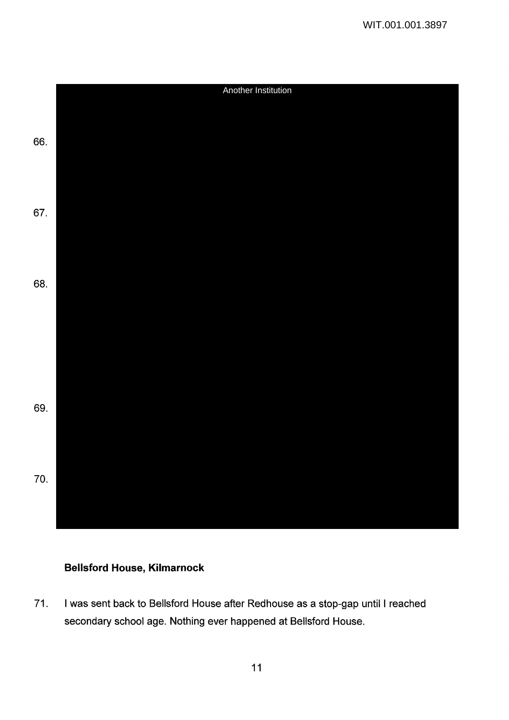

# **Bellsford House, Kilmarnock**

71. I was sent back to Bellsford House after Redhouse as a stop-gap until I reached secondary school age. Nothing ever happened at Bellsford House.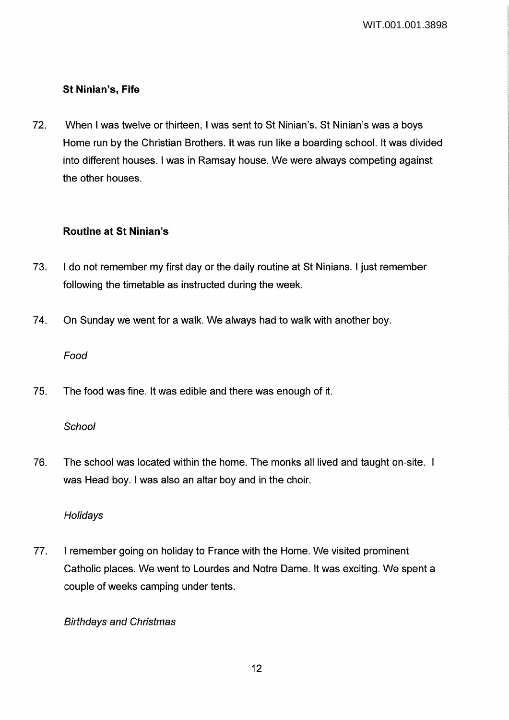# **St Ninian's, Fife**

72. When I was twelve or thirteen, I was sent to St Ninian's. St Ninian's was a boys Home run by the Christian Brothers. It was run like a boarding school. It was divided into different houses. I was in Ramsay house. We were always competing against the other houses.

# **Routine at St Ninian's**

- 73. I do not remember my first day or the daily routine at St Ninians. I just remember following the timetable as instructed during the week.
- 74. On Sunday we went for a walk. We always had to walk with another boy.

### Food

75. The food was fine. It was edible and there was enough of it.

# **School**

76. The school was located within the home. The monks all lived and taught on-site. was Head boy. I was also an altar boy and in the choir.

# Holidays

77. I remember going on holiday to France with the Home. We visited prominent Catholic places. We went to Lourdes and Notre Dame. It was exciting. We spent a couple of weeks camping under tents.

# Birthdays and Christmas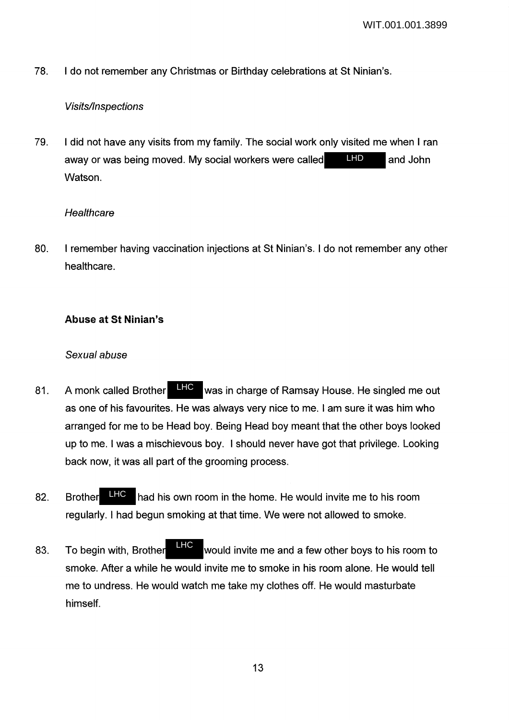78. I do not remember any Christmas or Birthday celebrations at St Ninian's.

### Visits/Inspections

79. I did not have any visits from my family. The social work only visited me when I ran away or was being moved. My social workers were called **LHD** and John Watson. LHD

### **Healthcare**

80. I remember having vaccination injections at St Ninian's. I do not remember any other healthcare.

# Abuse at St Ninian's

### *Sexual abuse*

- 81. A monk called Brother LHC was in charge of Ramsay House. He singled me out as one of his favourites. He was always very nice to me. I am sure it was him who arranged for me to be Head boy. Being Head boy meant that the other boys looked up to me. I was a mischievous boy. I should never have got that privilege. Looking back now, it was all part of the grooming process. A monk called Brother LHC
- 82. Brother **HC** had his own room in the home. He would invite me to his room regularly. I had begun smoking at that time. We were not allowed to smoke. LHC
- 83. To begin with, Brother **Film** would invite me and a few other boys to his room to smoke. After a while he would invite me to smoke in his room alone. He would tell me to undress. He would watch me take my clothes off. He would masturbate himself. LHC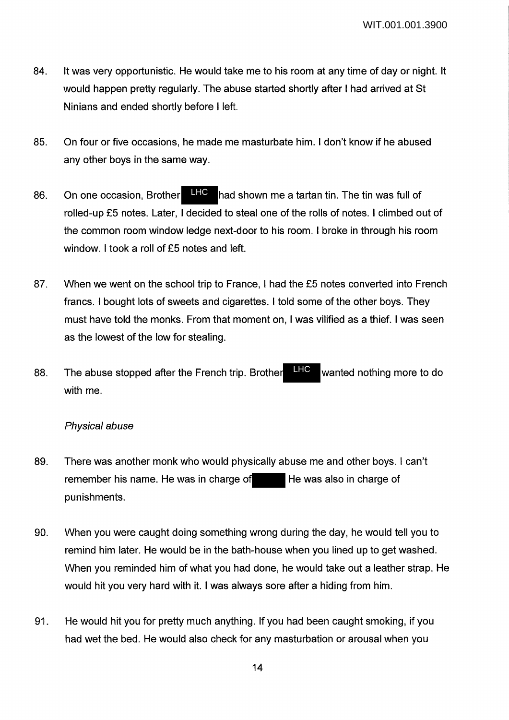- 84. It was very opportunistic. He would take me to his room at any time of day or night. It would happen pretty regularly. The abuse started shortly after I had arrived at St Ninians and ended shortly before I left.
- 85. On four or five occasions, he made me masturbate him. I don't know if he abused any other boys in the same way.
- 86. On one occasion, Brother LHC had shown me a tartan tin. The tin was full of rolled-up £5 notes. Later, I decided to steal one of the rolls of notes. I climbed out of the common room window ledge next-door to his room. I broke in through his room window. I took a roll of £5 notes and left. LHC
- 87. When we went on the school trip to France, I had the £5 notes converted into French francs. I bought lots of sweets and cigarettes. I told some of the other boys. They must have told the monks. From that moment on, I was vilified as a thief. I was seen as the lowest of the low for stealing.
- 88. The abuse stopped after the French trip. Brother **HFC** wanted nothing more to do with me. LHC

#### Physical abuse

- 89. There was another monk who would physically abuse me and other boys. I can't remember his name. He was in charge of He was also in charge of punishments.
- 90. When you were caught doing something wrong during the day, he would tell you to remind him later. He would be in the bath-house when you lined up to get washed. When you reminded him of what you had done, he would take out a leather strap. He would hit you very hard with it. I was always sore after a hiding from him.
- 91. He would hit you for pretty much anything. If you had been caught smoking, if you had wet the bed. He would also check for any masturbation or arousal when you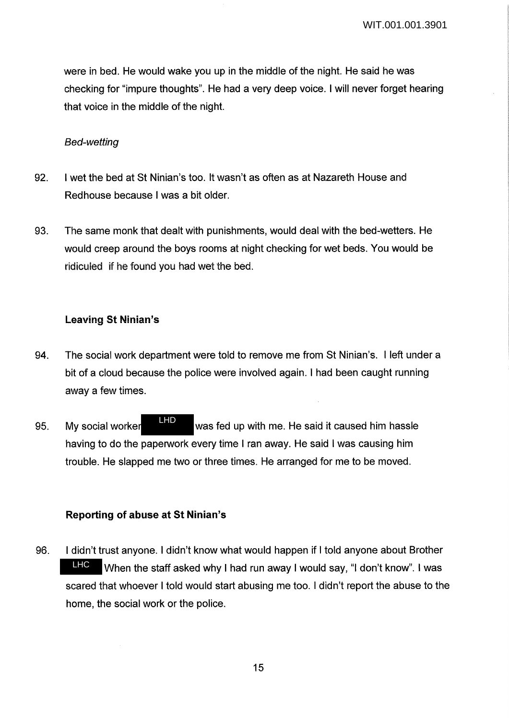were in bed. He would wake you up in the middle of the night. He said he was checking for "impure thoughts". He had a very deep voice. I will never forget hearing that voice in the middle of the night.

#### Bed-wetting

- 92. I wet the bed at St Ninian's too. It wasn't as often as at Nazareth House and Redhouse because I was a bit older.
- 93. The same monk that dealt with punishments, would deal with the bed-wetters. He would creep around the boys rooms at night checking for wet beds. You would be ridiculed if he found you had wet the bed.

### **Leaving St Ninian's**

- 94. The social work department were told to remove me from St Ninian's. I left under a bit of a cloud because the police were involved again. I had been caught running away a few times.
- 95. My social worker **WALK WAS fed up with me. He said it caused him hassle** having to do the paperwork every time I ran away. He said I was causing him trouble. He slapped me two or three times. He arranged for me to be moved. LHD

# **Reporting of abuse at St Ninian's**

96. I didn't trust anyone. I didn't know what would happen if I told anyone about Brother When the staff asked why I had run away I would say, "I don't know". I was scared that whoever I told would start abusing me too. I didn't report the abuse to the home, the social work or the police. LHC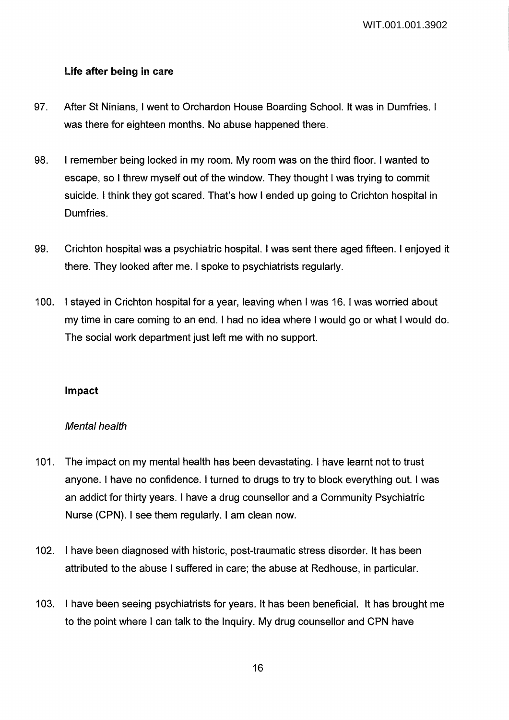### Life after being in care

- 97. After St Ninians, I went to Orchardon House Boarding School. It was in Dumfries. I was there for eighteen months. No abuse happened there.
- 98. I remember being locked in my room. My room was on the third floor. I wanted to escape, so I threw myself out of the window. They thought I was trying to commit suicide. I think they got scared. That's how I ended up going to Crichton hospital in Dumfries.
- 99. Crichton hospital was a psychiatric hospital. I was sent there aged fifteen. I enjoyed it there. They looked after me. I spoke to psychiatrists regularly.
- 100. I stayed in Crichton hospital for a year, leaving when I was 16. I was worried about my time in care coming to an end. I had no idea where I would go or what I would do. The social work department just left me with no support.

### Impact

### Mental health

- 101. The impact on my mental health has been devastating. I have learnt not to trust anyone. I have no confidence. I turned to drugs to try to block everything out. I was an addict for thirty years. I have a drug counsellor and a Community Psychiatric Nurse (CPN). I see them regularly. I am clean now.
- 102. I have been diagnosed with historic, post-traumatic stress disorder. It has been attributed to the abuse I suffered in care; the abuse at Redhouse, in particular.
- 103. I have been seeing psychiatrists for years. It has been beneficial. It has brought me to the point where I can talk to the Inquiry. My drug counsellor and CPN have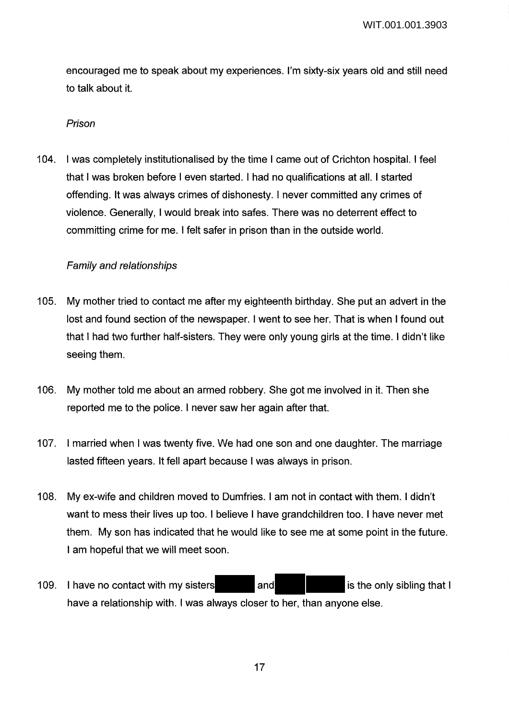encouraged me to speak about my experiences. I'm sixty-six years old and still need to talk about it.

#### Prison

104. I was completely institutionalised by the time I came out of Crichton hospital. I feel that I was broken before I even started. I had no qualifications at all. I started offending. It was always crimes of dishonesty. I never committed any crimes of violence. Generally, I would break into safes. There was no deterrent effect to committing crime for me. I felt safer in prison than in the outside world.

### Family and relationships

- 105. My mother tried to contact me after my eighteenth birthday. She put an advert in the lost and found section of the newspaper. I went to see her. That is when I found out that I had two further half-sisters. They were only young girls at the time. I didn't like seeing them.
- 106. My mother told me about an armed robbery. She got me involved in it. Then she reported me to the police. I never saw her again after that.
- 107. I married when I was twenty five. We had one son and one daughter. The marriage lasted fifteen years. It fell apart because I was always in prison.
- 108. My ex-wife and children moved to Dumfries. I am not in contact with them. I didn't want to mess their lives up too. I believe I have grandchildren too. I have never met them. My son has indicated that he would like to see me at some point in the future. I am hopeful that we will meet soon.
- 109. I have no contact with my sisters and is the only sibling that I have a relationship with. I was always closer to her, than anyone else.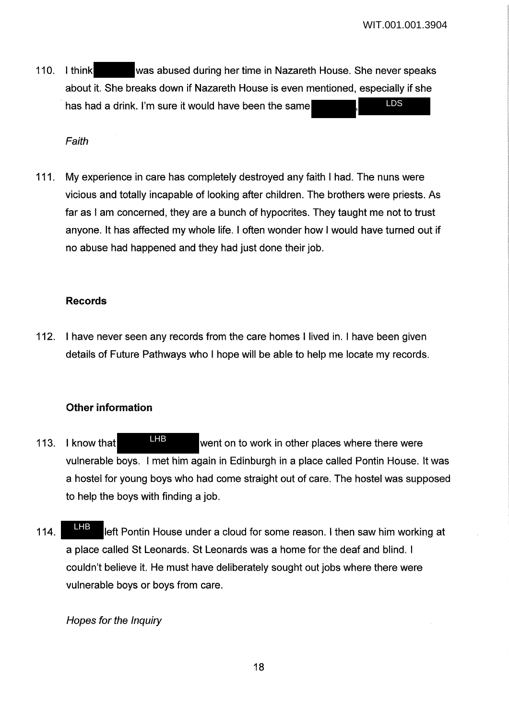110. I think was abused during her time in Nazareth House. She never speaks about it. She breaks down if Nazareth House is even mentioned, especially if she has had a drink. I'm sure it would have been the same LDS

Faith

111. My experience in care has completely destroyed any faith I had. The nuns were vicious and totally incapable of looking after children. The brothers were priests. As far as I am concerned, they are a bunch of hypocrites. They taught me not to trust anyone. It has affected my whole life. I often wonder how I would have turned out if no abuse had happened and they had just done their job.

#### Records

112. I have never seen any records from the care homes I lived in. I have been given details of Future Pathways who I hope will be able to help me locate my records.

### Other information

- 113. I know that **EFF** went on to work in other places where there were vulnerable boys. I met him again in Edinburgh in a place called Pontin House. It was a hostel for young boys who had come straight out of care. The hostel was supposed to help the boys with finding a job. LHB
- 114. **LEFT left Pontin House under a cloud for some reason. I then saw him working at** a place called St Leonards. St Leonards was a home for the deaf and blind. I couldn't believe it. He must have deliberately sought out jobs where there were vulnerable boys or boys from care. LHB

Hopes for the Inquiry